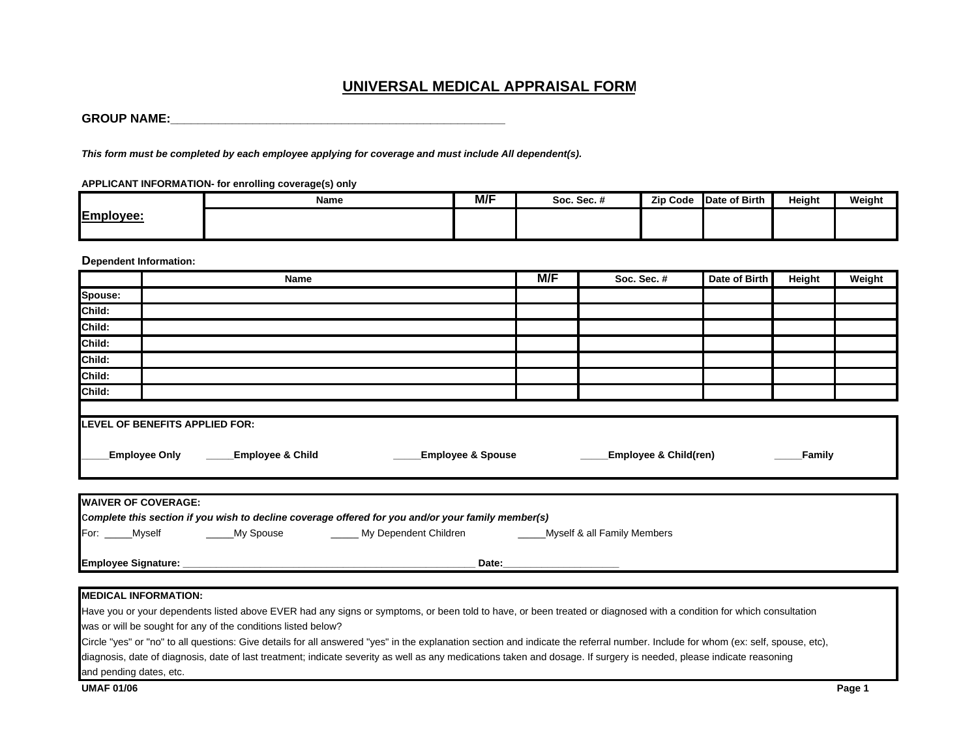## **UNIVERSAL MEDICAL APPRAISAL FOR M**

**\_**

*This form must be completed by each employee applying for coverage and must include All dependent(s).* 

**APPLICANT INFORMATION- for enrolling coverage(s) only**

|                            | <b>Name</b> | M/F | Soc. Sec. # | <b>Zip Code</b> | Date of Birth | Height | Weight |
|----------------------------|-------------|-----|-------------|-----------------|---------------|--------|--------|
| <b>IEmp</b><br>$1 - 1 - 1$ |             |     |             |                 |               |        |        |

**Dependent Information:**

| <b>Name</b>                                                                                                                                                                                                                                                                                                                                                                                                               | M/F                                                                                                                 | Soc. Sec. # | Date of Birth | Height | Weight |  |  |  |
|---------------------------------------------------------------------------------------------------------------------------------------------------------------------------------------------------------------------------------------------------------------------------------------------------------------------------------------------------------------------------------------------------------------------------|---------------------------------------------------------------------------------------------------------------------|-------------|---------------|--------|--------|--|--|--|
| Spouse:                                                                                                                                                                                                                                                                                                                                                                                                                   |                                                                                                                     |             |               |        |        |  |  |  |
| Child:                                                                                                                                                                                                                                                                                                                                                                                                                    |                                                                                                                     |             |               |        |        |  |  |  |
| Child:                                                                                                                                                                                                                                                                                                                                                                                                                    |                                                                                                                     |             |               |        |        |  |  |  |
| Child:                                                                                                                                                                                                                                                                                                                                                                                                                    |                                                                                                                     |             |               |        |        |  |  |  |
| Child:                                                                                                                                                                                                                                                                                                                                                                                                                    |                                                                                                                     |             |               |        |        |  |  |  |
| Child:                                                                                                                                                                                                                                                                                                                                                                                                                    |                                                                                                                     |             |               |        |        |  |  |  |
| Child:                                                                                                                                                                                                                                                                                                                                                                                                                    |                                                                                                                     |             |               |        |        |  |  |  |
|                                                                                                                                                                                                                                                                                                                                                                                                                           |                                                                                                                     |             |               |        |        |  |  |  |
| Employee Only<br><b>Employee &amp; Child</b>                                                                                                                                                                                                                                                                                                                                                                              | <b>LEVEL OF BENEFITS APPLIED FOR:</b><br><b>Employee &amp; Spouse</b><br><b>Employee &amp; Child(ren)</b><br>Family |             |               |        |        |  |  |  |
| <b>WAIVER OF COVERAGE:</b>                                                                                                                                                                                                                                                                                                                                                                                                |                                                                                                                     |             |               |        |        |  |  |  |
| Complete this section if you wish to decline coverage offered for you and/or your family member(s)<br>For: _____Myself Moreover My Spouse My Dependent Children Moreover 8 all Family Members                                                                                                                                                                                                                             |                                                                                                                     |             |               |        |        |  |  |  |
| Date:______________                                                                                                                                                                                                                                                                                                                                                                                                       |                                                                                                                     |             |               |        |        |  |  |  |
| <b>MEDICAL INFORMATION:</b>                                                                                                                                                                                                                                                                                                                                                                                               |                                                                                                                     |             |               |        |        |  |  |  |
| Have you or your dependents listed above EVER had any signs or symptoms, or been told to have, or been treated or diagnosed with a condition for which consultation<br>was or will be sought for any of the conditions listed below?<br>Circle "yes" or "no" to all questions: Give details for all answered "yes" in the explanation section and indicate the referral number. Include for whom (ex: self, spouse, etc), |                                                                                                                     |             |               |        |        |  |  |  |

diagnosis, date of diagnosis, date of last treatment; indicate severity as well as any medications taken and dosage. If surgery is needed, please indicate reasoning

and pending dates, etc. **UMAF 01/06**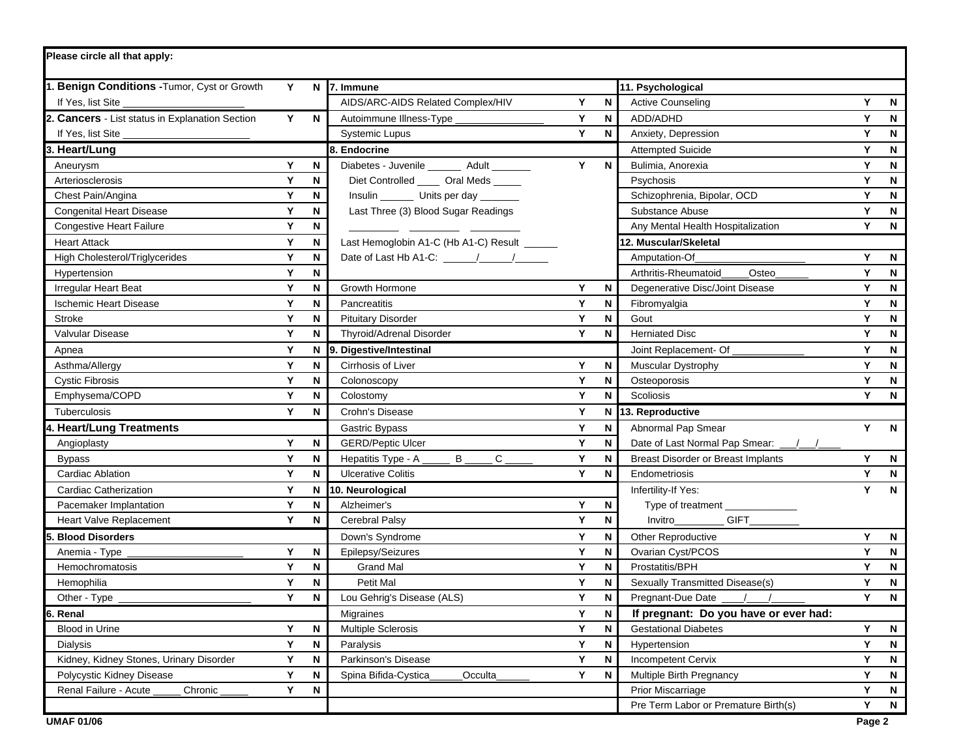| Please circle all that apply:                   |   |             |                                              |   |             |                                           |   |              |
|-------------------------------------------------|---|-------------|----------------------------------------------|---|-------------|-------------------------------------------|---|--------------|
| 1. Benign Conditions - Tumor, Cyst or Growth    | Y |             | N 7. Immune                                  |   |             | 11. Psychological                         |   |              |
| If Yes, list Site                               |   |             | AIDS/ARC-AIDS Related Complex/HIV            | Y | N           | <b>Active Counseling</b>                  | Y | N            |
| 2. Cancers - List status in Explanation Section | Y | N           | Autoimmune Illness-Type                      | Y | ${\sf N}$   | ADD/ADHD                                  | Y | N            |
| If Yes, list Site _                             |   |             | <b>Systemic Lupus</b>                        | Y | N           | Anxiety, Depression                       | Y | N            |
| 3. Heart/Lung                                   |   |             | 8. Endocrine                                 |   |             | <b>Attempted Suicide</b>                  | Y | N            |
| Aneurysm                                        | Y | N           | Diabetes - Juvenile ________ Adult _______   | Y | N           | Bulimia, Anorexia                         | Y | N            |
| Arteriosclerosis                                | Y | N           | Diet Controlled ______ Oral Meds _____       |   |             | Psychosis                                 | Y | N            |
| Chest Pain/Angina                               | Υ | N           | Insulin __________ Units per day ________    |   |             | Schizophrenia, Bipolar, OCD               | Y | N            |
| <b>Congenital Heart Disease</b>                 | Υ | N           | Last Three (3) Blood Sugar Readings          |   |             | Substance Abuse                           | Y | N            |
| <b>Congestive Heart Failure</b>                 | Y | N           |                                              |   |             | Any Mental Health Hospitalization         | Y | N            |
| <b>Heart Attack</b>                             | Y | N           | Last Hemoglobin A1-C (Hb A1-C) Result ______ |   |             | 12. Muscular/Skeletal                     |   |              |
| High Cholesterol/Triglycerides                  | Y | N           |                                              |   |             | Amputation-Of                             | Y | N            |
| Hypertension                                    | Y | N           |                                              |   |             | Arthritis-Rheumatoid<br>Osteo             | Y | N            |
| <b>Irregular Heart Beat</b>                     | Υ | N           | Growth Hormone                               | Y | $\mathbf N$ | Degenerative Disc/Joint Disease           | Y | N            |
| <b>Ischemic Heart Disease</b>                   | Υ | N           | Pancreatitis                                 | Y | N           | Fibromyalgia                              | Y | N            |
| Stroke                                          | Y | N           | <b>Pituitary Disorder</b>                    | Y | ${\sf N}$   | Gout                                      | Y | N            |
| Valvular Disease                                | Y | N           | Thyroid/Adrenal Disorder                     | Y | N           | <b>Herniated Disc</b>                     | Y | N            |
| Apnea                                           | Y | N           | 9. Digestive/Intestinal                      |   |             | Joint Replacement- Of                     | Y | N            |
| Asthma/Allergy                                  | Y | N           | Cirrhosis of Liver                           | Y | N           | <b>Muscular Dystrophy</b>                 | Y | N            |
| <b>Cystic Fibrosis</b>                          | Y | N           | Colonoscopy                                  | Υ | N           | Osteoporosis                              | Y | N            |
| Emphysema/COPD                                  | Y | N           | Colostomy                                    | Y | N           | Scoliosis                                 | Y | N            |
| Tuberculosis                                    | Y | N           | Crohn's Disease                              | Y |             | N 13. Reproductive                        |   |              |
| 4. Heart/Lung Treatments                        |   |             | Gastric Bypass                               | Υ | N           | Abnormal Pap Smear                        | Y | $\mathsf{N}$ |
| Angioplasty                                     | Y | N           | <b>GERD/Peptic Ulcer</b>                     | Y | N           | Date of Last Normal Pap Smear: __/__/__   |   |              |
| <b>Bypass</b>                                   | Y | N           | B<br>C<br>Hepatitis Type - A                 | Y | N           | <b>Breast Disorder or Breast Implants</b> | Y | $\mathsf{N}$ |
| <b>Cardiac Ablation</b>                         | Y | N           | <b>Ulcerative Colitis</b>                    | Y | N           | Endometriosis                             | Y | N            |
| <b>Cardiac Catherization</b>                    | Y | N           | 10. Neurological                             |   |             | Infertility-If Yes:                       | Y | N            |
| Pacemaker Implantation                          | Υ | N           | Alzheimer's                                  | Υ | N           | Type of treatment _______________         |   |              |
| Heart Valve Replacement                         | Y | N           | Cerebral Palsy                               | Y | N           | Invitro                                   |   |              |
| 5. Blood Disorders                              |   |             | Down's Syndrome                              | Υ | N           | <b>Other Reproductive</b>                 | Y | N            |
| Anemia - Type                                   | Υ | N           | Epilepsy/Seizures                            | Υ | N           | Ovarian Cyst/PCOS                         | Y | N            |
| Hemochromatosis                                 | Y | N           | <b>Grand Mal</b>                             | Υ | N           | Prostatitis/BPH                           | Y | N            |
| Hemophilia                                      | Y | N           | Petit Mal                                    | Υ | N           | Sexually Transmitted Disease(s)           | Y | N            |
| Other - Type                                    | Υ | $\mathsf N$ | Lou Gehrig's Disease (ALS)                   | Υ | N           | Pregnant-Due Date ____/____/              | Y | N            |
| 6. Renal                                        |   |             | Migraines                                    | Y | N           | If pregnant: Do you have or ever had:     |   |              |
| Blood in Urine                                  | Y | N           | Multiple Sclerosis                           | Y | N           | <b>Gestational Diabetes</b>               | Y | N            |
| <b>Dialysis</b>                                 | Y | N           | Paralysis                                    | Y | N           | Hypertension                              | Y | N            |
| Kidney, Kidney Stones, Urinary Disorder         | Y | N           | Parkinson's Disease                          | Y | ${\sf N}$   | <b>Incompetent Cervix</b>                 | Y | N            |
| Polycystic Kidney Disease                       | Y | N           | Spina Bifida-Cystica<br>Occulta              | Y | N           | Multiple Birth Pregnancy                  | Y | N            |
| Renal Failure - Acute<br>Chronic                | Y | N           |                                              |   |             | <b>Prior Miscarriage</b>                  | Y | N            |
|                                                 |   |             |                                              |   |             | Pre Term Labor or Premature Birth(s)      | Y | N            |